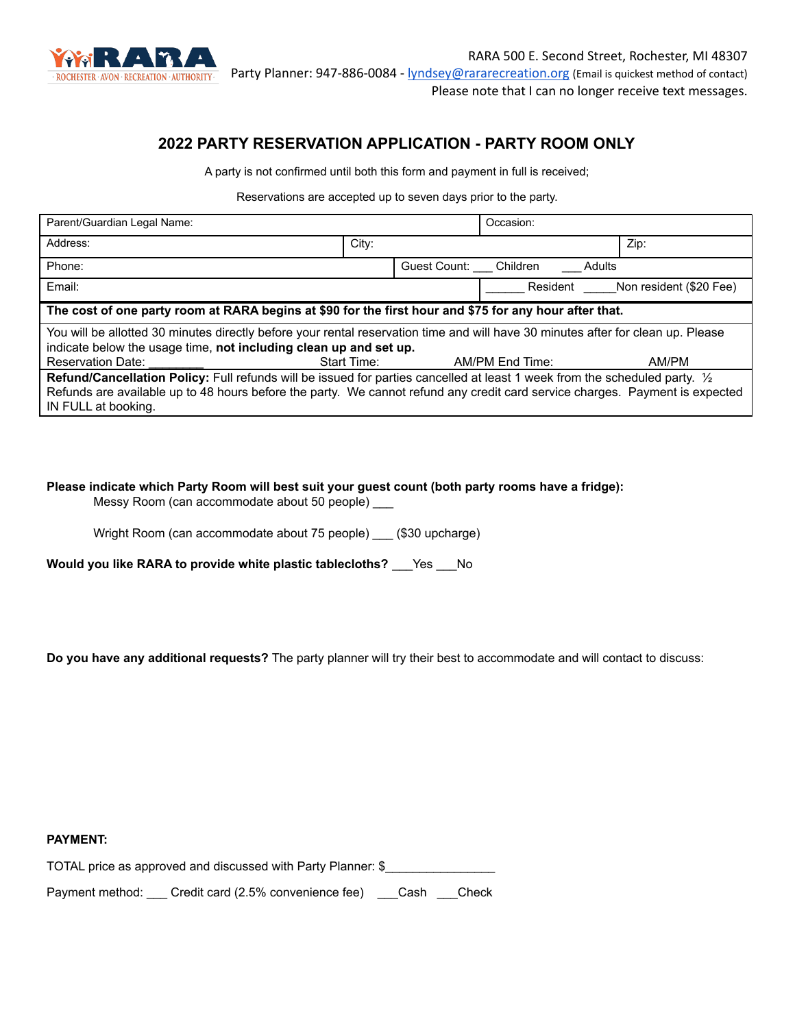

# **2022 PARTY RESERVATION APPLICATION - PARTY ROOM ONLY**

A party is not confirmed until both this form and payment in full is received;

Reservations are accepted up to seven days prior to the party.

| Parent/Guardian Legal Name:                                                                                                                                                                           |             |                       | Occasion:       |          |                         |  |
|-------------------------------------------------------------------------------------------------------------------------------------------------------------------------------------------------------|-------------|-----------------------|-----------------|----------|-------------------------|--|
| Address:                                                                                                                                                                                              | City:       |                       |                 |          | Zip:                    |  |
| Phone:                                                                                                                                                                                                |             | Guest Count: Children |                 | Adults   |                         |  |
| Email:                                                                                                                                                                                                |             |                       |                 | Resident | Non resident (\$20 Fee) |  |
| The cost of one party room at RARA begins at \$90 for the first hour and \$75 for any hour after that.                                                                                                |             |                       |                 |          |                         |  |
| You will be allotted 30 minutes directly before your rental reservation time and will have 30 minutes after for clean up. Please<br>indicate below the usage time, not including clean up and set up. |             |                       |                 |          |                         |  |
| <b>Reservation Date:</b>                                                                                                                                                                              | Start Time: |                       | AM/PM End Time: |          | AM/PM                   |  |
| Refund/Cancellation Policy: Full refunds will be issued for parties cancelled at least 1 week from the scheduled party. 1/2                                                                           |             |                       |                 |          |                         |  |
| Refunds are available up to 48 hours before the party. We cannot refund any credit card service charges. Payment is expected<br>IN FULL at booking.                                                   |             |                       |                 |          |                         |  |

**Please indicate which Party Room will best suit your guest count (both party rooms have a fridge):**

Messy Room (can accommodate about 50 people) \_\_\_

Wright Room (can accommodate about 75 people) \_\_\_ (\$30 upcharge)

**Would you like RARA to provide white plastic tablecloths?** \_\_\_Yes \_\_\_No

**Do you have any additional requests?** The party planner will try their best to accommodate and will contact to discuss:

**PAYMENT:**

| TOTAL price as approved and discussed with Party Planner: \$ |  |
|--------------------------------------------------------------|--|
|--------------------------------------------------------------|--|

Payment method: \_\_\_ Credit card (2.5% convenience fee) \_\_\_Cash \_\_\_Check